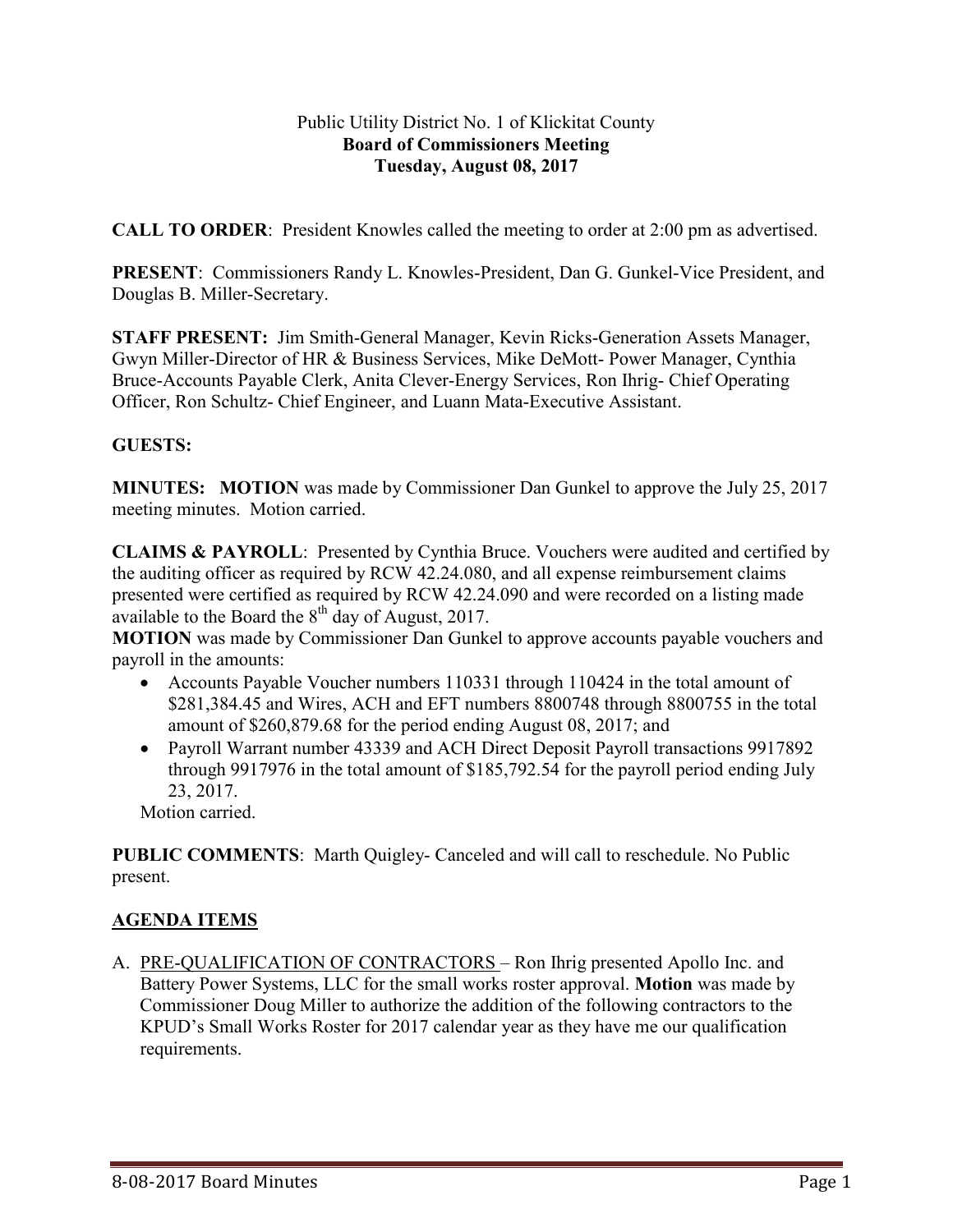## Public Utility District No. 1 of Klickitat County **Board of Commissioners Meeting Tuesday, August 08, 2017**

**CALL TO ORDER**: President Knowles called the meeting to order at 2:00 pm as advertised.

**PRESENT**: Commissioners Randy L. Knowles-President, Dan G. Gunkel-Vice President, and Douglas B. Miller-Secretary.

**STAFF PRESENT:** Jim Smith-General Manager, Kevin Ricks-Generation Assets Manager, Gwyn Miller-Director of HR & Business Services, Mike DeMott- Power Manager, Cynthia Bruce-Accounts Payable Clerk, Anita Clever-Energy Services, Ron Ihrig- Chief Operating Officer, Ron Schultz- Chief Engineer, and Luann Mata-Executive Assistant.

## **GUESTS:**

**MINUTES: MOTION** was made by Commissioner Dan Gunkel to approve the July 25, 2017 meeting minutes. Motion carried.

**CLAIMS & PAYROLL**: Presented by Cynthia Bruce. Vouchers were audited and certified by the auditing officer as required by RCW 42.24.080, and all expense reimbursement claims presented were certified as required by RCW 42.24.090 and were recorded on a listing made available to the Board the  $8<sup>th</sup>$  day of August, 2017.

**MOTION** was made by Commissioner Dan Gunkel to approve accounts payable vouchers and payroll in the amounts:

- Accounts Payable Voucher numbers 110331 through 110424 in the total amount of \$281,384.45 and Wires, ACH and EFT numbers 8800748 through 8800755 in the total amount of \$260,879.68 for the period ending August 08, 2017; and
- Payroll Warrant number 43339 and ACH Direct Deposit Payroll transactions 9917892 through 9917976 in the total amount of \$185,792.54 for the payroll period ending July 23, 2017.

Motion carried.

**PUBLIC COMMENTS**: Marth Quigley- Canceled and will call to reschedule. No Public present.

## **AGENDA ITEMS**

A. PRE-QUALIFICATION OF CONTRACTORS – Ron Ihrig presented Apollo Inc. and Battery Power Systems, LLC for the small works roster approval. **Motion** was made by Commissioner Doug Miller to authorize the addition of the following contractors to the KPUD's Small Works Roster for 2017 calendar year as they have me our qualification requirements.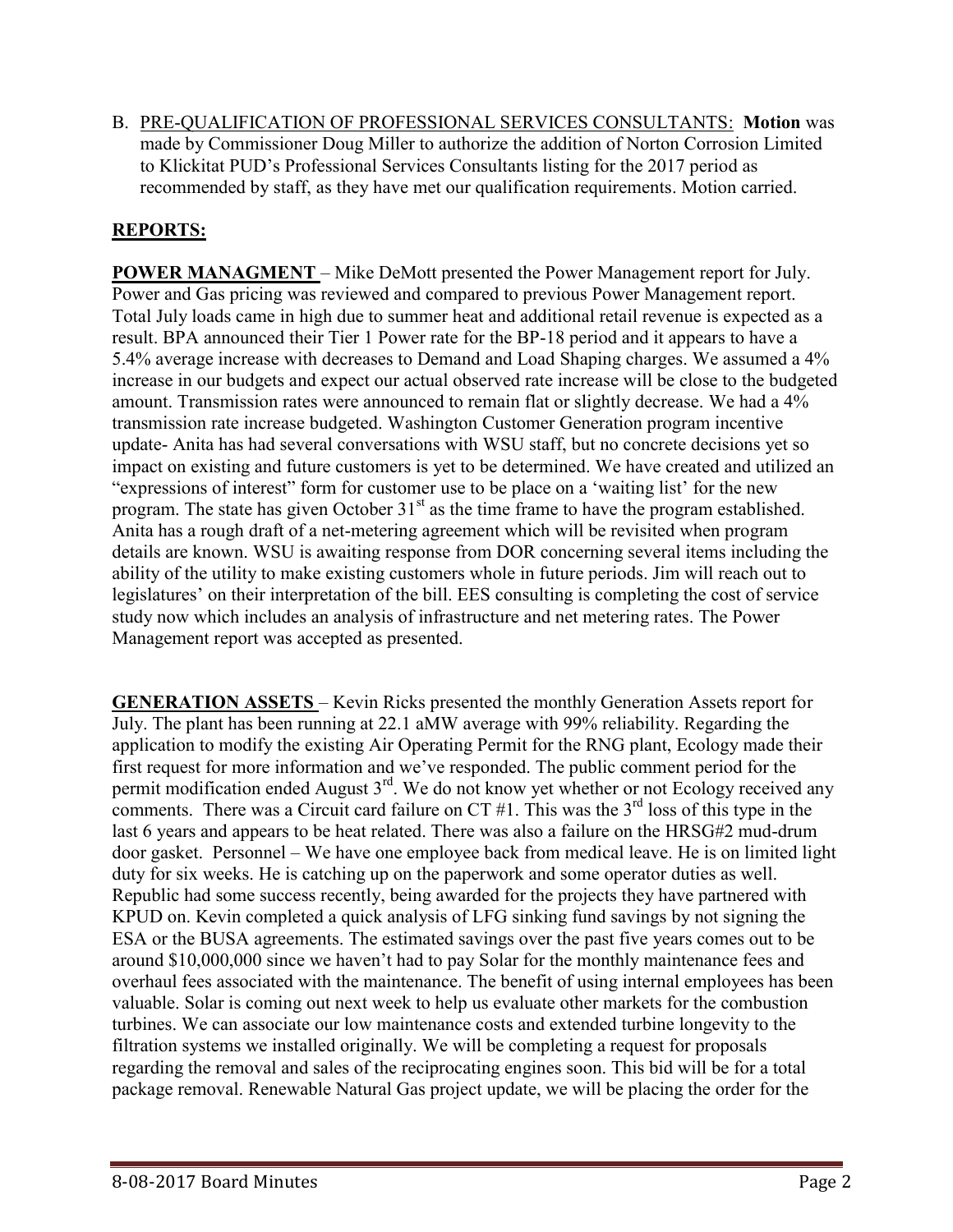B. PRE-QUALIFICATION OF PROFESSIONAL SERVICES CONSULTANTS: **Motion** was made by Commissioner Doug Miller to authorize the addition of Norton Corrosion Limited to Klickitat PUD's Professional Services Consultants listing for the 2017 period as recommended by staff, as they have met our qualification requirements. Motion carried.

## **REPORTS:**

**POWER MANAGMENT** – Mike DeMott presented the Power Management report for July. Power and Gas pricing was reviewed and compared to previous Power Management report. Total July loads came in high due to summer heat and additional retail revenue is expected as a result. BPA announced their Tier 1 Power rate for the BP-18 period and it appears to have a 5.4% average increase with decreases to Demand and Load Shaping charges. We assumed a 4% increase in our budgets and expect our actual observed rate increase will be close to the budgeted amount. Transmission rates were announced to remain flat or slightly decrease. We had a 4% transmission rate increase budgeted. Washington Customer Generation program incentive update- Anita has had several conversations with WSU staff, but no concrete decisions yet so impact on existing and future customers is yet to be determined. We have created and utilized an "expressions of interest" form for customer use to be place on a 'waiting list' for the new program. The state has given October  $31<sup>st</sup>$  as the time frame to have the program established. Anita has a rough draft of a net-metering agreement which will be revisited when program details are known. WSU is awaiting response from DOR concerning several items including the ability of the utility to make existing customers whole in future periods. Jim will reach out to legislatures' on their interpretation of the bill. EES consulting is completing the cost of service study now which includes an analysis of infrastructure and net metering rates. The Power Management report was accepted as presented.

**GENERATION ASSETS** – Kevin Ricks presented the monthly Generation Assets report for July. The plant has been running at 22.1 aMW average with 99% reliability. Regarding the application to modify the existing Air Operating Permit for the RNG plant, Ecology made their first request for more information and we've responded. The public comment period for the permit modification ended August 3<sup>rd</sup>. We do not know yet whether or not Ecology received any comments. There was a Circuit card failure on CT #1. This was the  $3<sup>rd</sup>$  loss of this type in the last 6 years and appears to be heat related. There was also a failure on the HRSG#2 mud-drum door gasket. Personnel – We have one employee back from medical leave. He is on limited light duty for six weeks. He is catching up on the paperwork and some operator duties as well. Republic had some success recently, being awarded for the projects they have partnered with KPUD on. Kevin completed a quick analysis of LFG sinking fund savings by not signing the ESA or the BUSA agreements. The estimated savings over the past five years comes out to be around \$10,000,000 since we haven't had to pay Solar for the monthly maintenance fees and overhaul fees associated with the maintenance. The benefit of using internal employees has been valuable. Solar is coming out next week to help us evaluate other markets for the combustion turbines. We can associate our low maintenance costs and extended turbine longevity to the filtration systems we installed originally. We will be completing a request for proposals regarding the removal and sales of the reciprocating engines soon. This bid will be for a total package removal. Renewable Natural Gas project update, we will be placing the order for the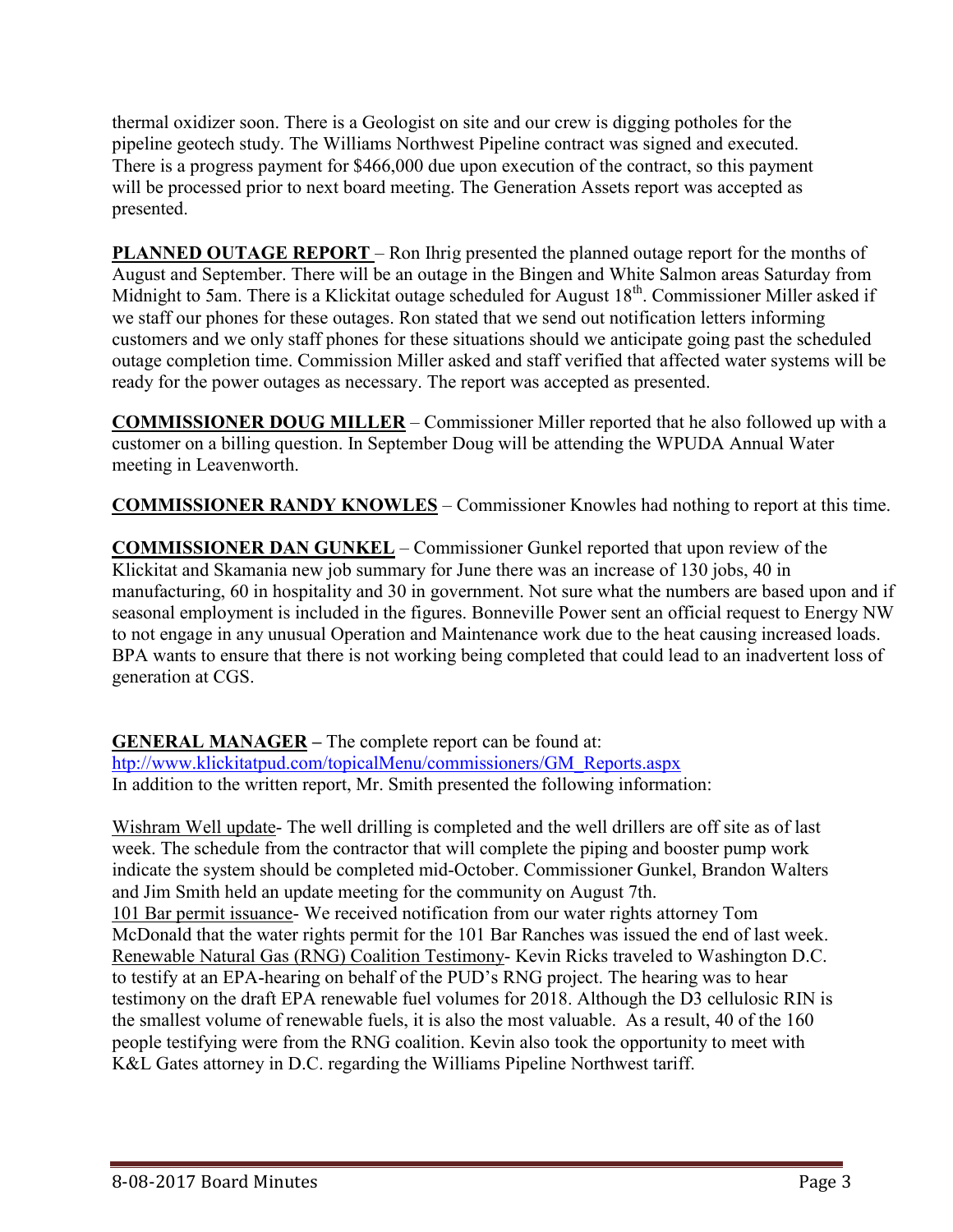thermal oxidizer soon. There is a Geologist on site and our crew is digging potholes for the pipeline geotech study. The Williams Northwest Pipeline contract was signed and executed. There is a progress payment for \$466,000 due upon execution of the contract, so this payment will be processed prior to next board meeting. The Generation Assets report was accepted as presented.

**PLANNED OUTAGE REPORT** – Ron Ihrig presented the planned outage report for the months of August and September. There will be an outage in the Bingen and White Salmon areas Saturday from Midnight to 5am. There is a Klickitat outage scheduled for August 18<sup>th</sup>. Commissioner Miller asked if we staff our phones for these outages. Ron stated that we send out notification letters informing customers and we only staff phones for these situations should we anticipate going past the scheduled outage completion time. Commission Miller asked and staff verified that affected water systems will be ready for the power outages as necessary. The report was accepted as presented.

**COMMISSIONER DOUG MILLER** – Commissioner Miller reported that he also followed up with a customer on a billing question. In September Doug will be attending the WPUDA Annual Water meeting in Leavenworth.

**COMMISSIONER RANDY KNOWLES** – Commissioner Knowles had nothing to report at this time.

**COMMISSIONER DAN GUNKEL** – Commissioner Gunkel reported that upon review of the Klickitat and Skamania new job summary for June there was an increase of 130 jobs, 40 in manufacturing, 60 in hospitality and 30 in government. Not sure what the numbers are based upon and if seasonal employment is included in the figures. Bonneville Power sent an official request to Energy NW to not engage in any unusual Operation and Maintenance work due to the heat causing increased loads. BPA wants to ensure that there is not working being completed that could lead to an inadvertent loss of generation at CGS.

**GENERAL MANAGER –** The complete report can be found at: [htp://www.klickitatpud.com/topicalMenu/commissioners/GM\\_Reports.aspx](http://www.klickitatpud.com/topicalMenu/commissioners/GM_Reports.aspx)  In addition to the written report, Mr. Smith presented the following information:

Wishram Well update- The well drilling is completed and the well drillers are off site as of last week. The schedule from the contractor that will complete the piping and booster pump work indicate the system should be completed mid-October. Commissioner Gunkel, Brandon Walters and Jim Smith held an update meeting for the community on August 7th. 101 Bar permit issuance- We received notification from our water rights attorney Tom McDonald that the water rights permit for the 101 Bar Ranches was issued the end of last week. Renewable Natural Gas (RNG) Coalition Testimony- Kevin Ricks traveled to Washington D.C. to testify at an EPA-hearing on behalf of the PUD's RNG project. The hearing was to hear testimony on the draft EPA renewable fuel volumes for 2018. Although the D3 cellulosic RIN is the smallest volume of renewable fuels, it is also the most valuable. As a result, 40 of the 160 people testifying were from the RNG coalition. Kevin also took the opportunity to meet with K&L Gates attorney in D.C. regarding the Williams Pipeline Northwest tariff.